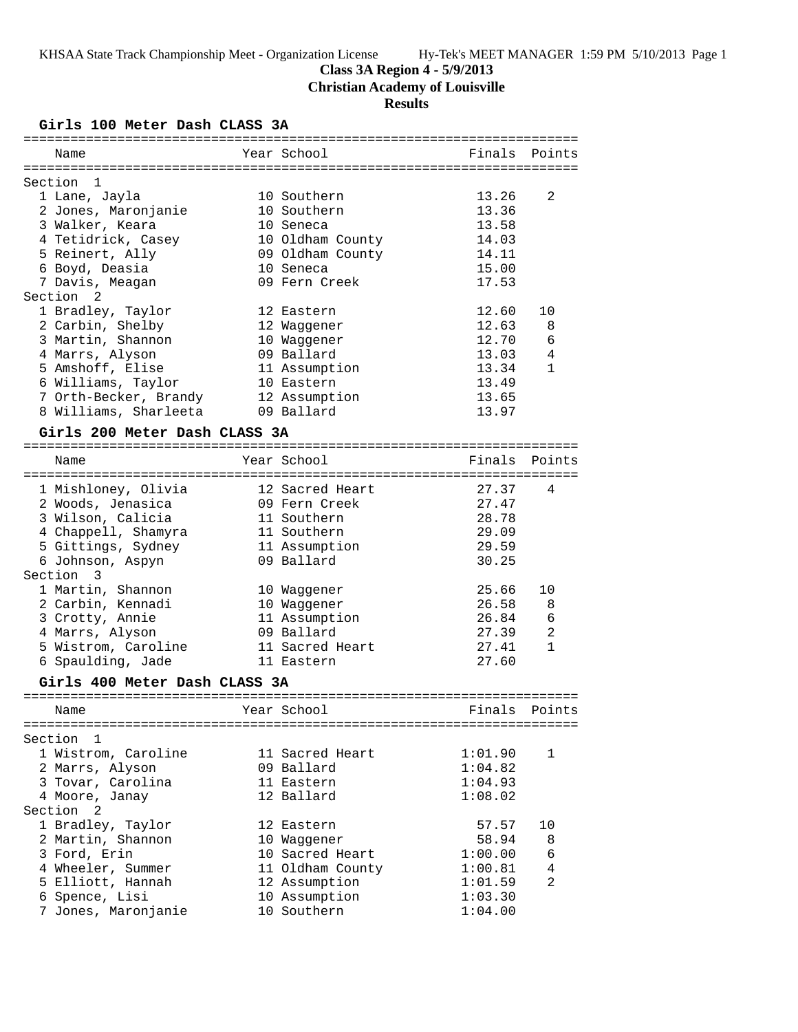**Class 3A Region 4 - 5/9/2013**

**Christian Academy of Louisville**

# **Results**

**Girls 100 Meter Dash CLASS 3A**

| Giris 100 Meter Dasn CLASS 3A |                            |               |              |
|-------------------------------|----------------------------|---------------|--------------|
| Name                          | Year School                | Finals        | Points       |
| Section<br>1                  |                            |               |              |
| 1 Lane, Jayla                 | 10 Southern                | 13.26         | 2            |
| 2 Jones, Maronjanie           | 10 Southern                | 13.36         |              |
| 3 Walker, Keara               | 10 Seneca                  | 13.58         |              |
| 4 Tetidrick, Casey            | 10 Oldham County           | 14.03         |              |
| 5 Reinert, Ally               | 09 Oldham County           | 14.11         |              |
| 6 Boyd, Deasia                | 10 Seneca                  | 15.00         |              |
| 7 Davis, Meagan               | 09 Fern Creek              | 17.53         |              |
| Section 2                     |                            |               |              |
| 1 Bradley, Taylor             | 12 Eastern                 | 12.60         | 10           |
| 2 Carbin, Shelby              | 12 Waggener                | 12.63         | 8            |
| 3 Martin, Shannon             | 10 Waggener                | 12.70         | 6            |
| 4 Marrs, Alyson               | 09 Ballard                 | 13.03         | 4            |
| 5 Amshoff, Elise              | 11 Assumption              | 13.34         | 1            |
| 6 Williams, Taylor            | 10 Eastern                 | 13.49         |              |
| 7 Orth-Becker, Brandy         | 12 Assumption              | 13.65         |              |
| 8 Williams, Sharleeta         | 09 Ballard                 | 13.97         |              |
|                               |                            |               |              |
| Girls 200 Meter Dash CLASS 3A |                            |               |              |
| Name                          | Year School                | Finals        | Points       |
|                               |                            |               |              |
| 1 Mishloney, Olivia           | 12 Sacred Heart            | 27.37         | 4            |
| 2 Woods, Jenasica             | 09 Fern Creek              | 27.47         |              |
| 3 Wilson, Calicia             | 11 Southern                | 28.78         |              |
| 4 Chappell, Shamyra           | 11 Southern                | 29.09         |              |
| 5 Gittings, Sydney            | 11 Assumption              | 29.59         |              |
| 6 Johnson, Aspyn              | 09 Ballard                 | 30.25         |              |
| Section 3                     |                            |               |              |
| 1 Martin, Shannon             | 10 Waggener                | 25.66         | 10           |
| 2 Carbin, Kennadi             | 10 Waggener                | 26.58         | 8            |
| 3 Crotty, Annie               | 11 Assumption              | 26.84         | 6            |
| 4 Marrs, Alyson               | 09 Ballard                 | 27.39         | 2            |
| 5 Wistrom, Caroline           | 11 Sacred Heart            | 27.41         | $\mathbf{1}$ |
| 6 Spaulding, Jade             | 11 Eastern                 | 27.60         |              |
| Girls 400 Meter Dash CLASS 3A |                            |               |              |
|                               |                            |               |              |
| Name                          | Year School and the School | Finals Points |              |
|                               |                            |               |              |
| Section<br>1                  |                            |               |              |
| 1 Wistrom, Caroline           | 11 Sacred Heart            | 1:01.90       | $\mathbf{1}$ |
| 2 Marrs, Alyson               | 09 Ballard                 | 1:04.82       |              |
| 3 Tovar, Carolina             | 11 Eastern                 | 1:04.93       |              |
| 4 Moore, Janay                | 12 Ballard                 | 1:08.02       |              |
| Section<br>2                  |                            |               |              |
| 1 Bradley, Taylor             | 12 Eastern                 | 57.57         | 10           |
| 2 Martin, Shannon             | 10 Waggener                | 58.94         | 8            |
| 3 Ford, Erin                  | 10 Sacred Heart            | 1:00.00       | 6            |
| 4 Wheeler, Summer             | 11 Oldham County           | 1:00.81       | 4            |
| 5 Elliott, Hannah             | 12 Assumption              | 1:01.59       | 2            |
| 6 Spence, Lisi                | 10 Assumption              | 1:03.30       |              |
| 7 Jones, Maronjanie           | 10 Southern                | 1:04.00       |              |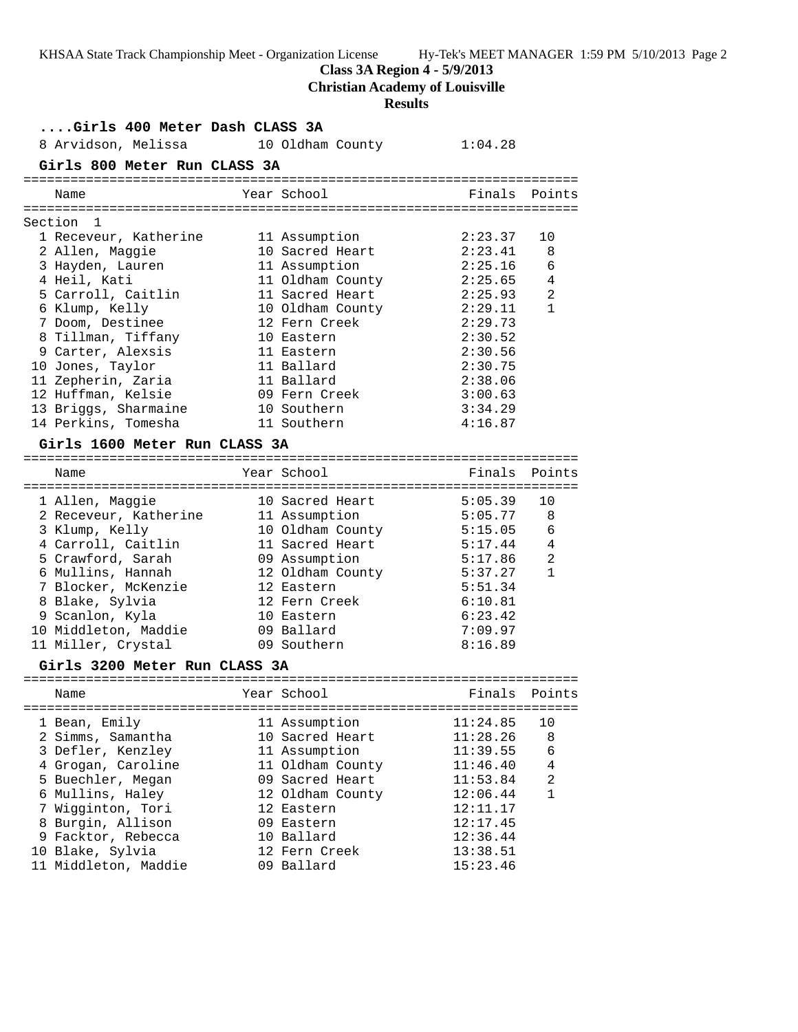**Class 3A Region 4 - 5/9/2013**

**Christian Academy of Louisville**

# **Results**

| Girls 400 Meter Dash CLASS 3A |                                      |  |                  |          |                |  |
|-------------------------------|--------------------------------------|--|------------------|----------|----------------|--|
|                               | 8 Arvidson, Melissa 10 Oldham County |  |                  | 1:04.28  |                |  |
|                               | Girls 800 Meter Run CLASS 3A         |  |                  |          |                |  |
|                               | Name                                 |  | Year School      | Finals   | Points         |  |
|                               | Section<br>1                         |  |                  |          |                |  |
|                               | 1 Receveur, Katherine                |  | 11 Assumption    | 2:23.37  | 10             |  |
|                               | 2 Allen, Maggie                      |  | 10 Sacred Heart  | 2:23.41  | 8              |  |
|                               | 3 Hayden, Lauren                     |  | 11 Assumption    | 2:25.16  | 6              |  |
|                               | 4 Heil, Kati                         |  | 11 Oldham County | 2:25.65  | 4              |  |
|                               | 5 Carroll, Caitlin                   |  | 11 Sacred Heart  | 2:25.93  | 2              |  |
|                               | 6 Klump, Kelly                       |  | 10 Oldham County | 2:29.11  | $\mathbf{1}$   |  |
|                               | 7 Doom, Destinee                     |  | 12 Fern Creek    | 2:29.73  |                |  |
|                               | 8 Tillman, Tiffany                   |  | 10 Eastern       | 2:30.52  |                |  |
|                               | 9 Carter, Alexsis                    |  | 11 Eastern       | 2:30.56  |                |  |
|                               | 10 Jones, Taylor                     |  | 11 Ballard       | 2:30.75  |                |  |
|                               | 11 Zepherin, Zaria                   |  | 11 Ballard       | 2:38.06  |                |  |
|                               | 12 Huffman, Kelsie                   |  | 09 Fern Creek    | 3:00.63  |                |  |
|                               | 13 Briggs, Sharmaine                 |  | 10 Southern      | 3:34.29  |                |  |
|                               | 14 Perkins, Tomesha                  |  | 11 Southern      | 4:16.87  |                |  |
|                               | Girls 1600 Meter Run CLASS 3A        |  |                  |          |                |  |
|                               |                                      |  |                  |          |                |  |
|                               | Name                                 |  | Year School      | Finals   | Points         |  |
|                               |                                      |  |                  |          |                |  |
|                               | 1 Allen, Maggie                      |  | 10 Sacred Heart  | 5:05.39  | 10             |  |
|                               | 2 Receveur, Katherine                |  | 11 Assumption    | 5:05.77  | 8              |  |
|                               | 3 Klump, Kelly                       |  | 10 Oldham County | 5:15.05  | 6              |  |
|                               | 4 Carroll, Caitlin                   |  | 11 Sacred Heart  | 5:17.44  | 4              |  |
|                               | 5 Crawford, Sarah                    |  | 09 Assumption    | 5:17.86  | $\overline{2}$ |  |
|                               | 6 Mullins, Hannah                    |  | 12 Oldham County | 5:37.27  | $\mathbf{1}$   |  |
|                               | 7 Blocker, McKenzie                  |  | 12 Eastern       | 5:51.34  |                |  |
|                               | 8 Blake, Sylvia                      |  | 12 Fern Creek    | 6:10.81  |                |  |
|                               | 9 Scanlon, Kyla                      |  | 10 Eastern       | 6:23.42  |                |  |
|                               | 10 Middleton, Maddie                 |  | 09 Ballard       | 7:09.97  |                |  |
|                               | 11 Miller, Crystal                   |  | 09 Southern      | 8:16.89  |                |  |
|                               | Girls 3200 Meter Run CLASS 3A        |  |                  |          |                |  |
|                               | Name                                 |  | Year School      |          | Finals Points  |  |
|                               |                                      |  |                  |          |                |  |
|                               | 1 Bean, Emily                        |  | 11 Assumption    | 11:24.85 | 10             |  |
|                               | 2 Simms, Samantha                    |  | 10 Sacred Heart  | 11:28.26 | 8              |  |
|                               | 3 Defler, Kenzley                    |  | 11 Assumption    | 11:39.55 | 6              |  |
|                               | 4 Grogan, Caroline                   |  | 11 Oldham County | 11:46.40 | 4              |  |
|                               | 5 Buechler, Megan                    |  | 09 Sacred Heart  | 11:53.84 | 2              |  |
|                               | 6 Mullins, Haley                     |  | 12 Oldham County | 12:06.44 | 1              |  |
|                               | 7 Wigginton, Tori                    |  | 12 Eastern       | 12:11.17 |                |  |
|                               | 8 Burgin, Allison                    |  | 09 Eastern       | 12:17.45 |                |  |
|                               | 9 Facktor, Rebecca                   |  | 10 Ballard       | 12:36.44 |                |  |
|                               | 10 Blake, Sylvia                     |  | 12 Fern Creek    | 13:38.51 |                |  |
|                               | 11 Middleton, Maddie                 |  | 09 Ballard       | 15:23.46 |                |  |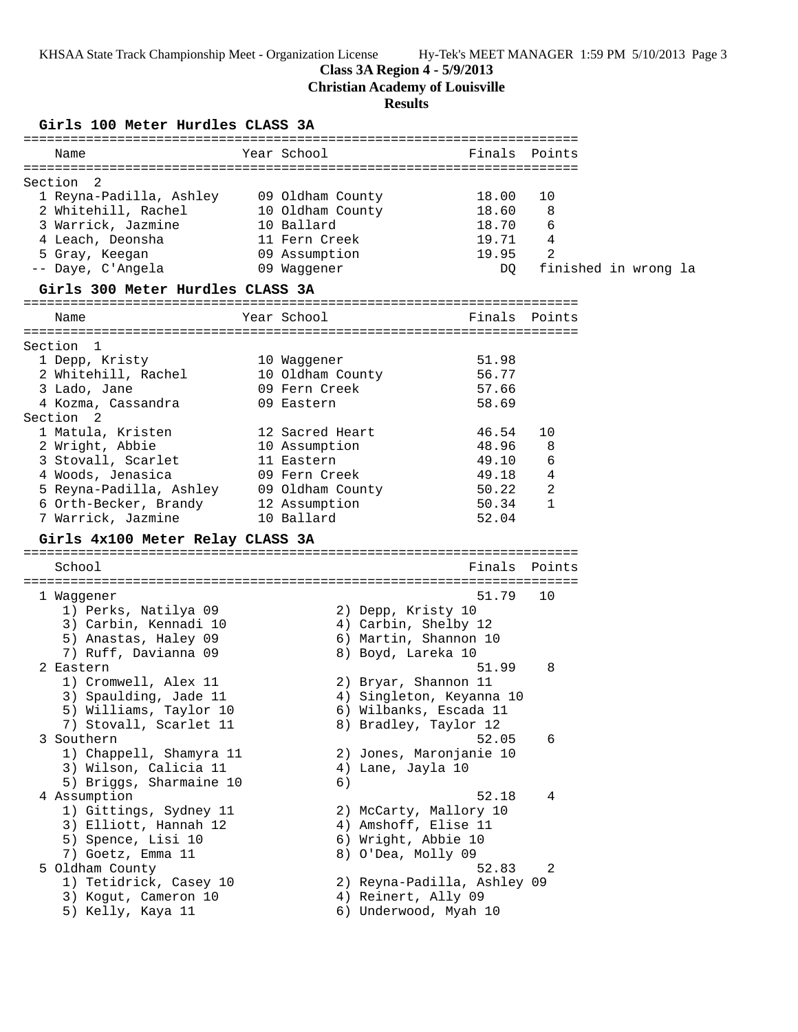### **Class 3A Region 4 - 5/9/2013**

**Christian Academy of Louisville**

#### **Results**

**Girls 100 Meter Hurdles CLASS 3A** ======================================================================= Name The Year School The Finals Points ======================================================================= Section 2 1 Reyna-Padilla, Ashley 09 Oldham County 18.00 10 2 Whitehill, Rachel 10 Oldham County 18.60 8 3 Warrick, Jazmine 10 Ballard 18.70 6 4 Leach, Deonsha 11 Fern Creek 19.71 4 5 Gray, Keegan 09 Assumption 19.95 2 -- Daye, C'Angela 09 Waggener DQ finished in wrong la **Girls 300 Meter Hurdles CLASS 3A** ======================================================================= Name The Year School Contract Points Points ======================================================================= Section 1 1 Depp, Kristy 10 Waggener 51.98 2 Whitehill, Rachel 10 Oldham County 56.77 3 Lado, Jane 09 Fern Creek 57.66 4 Kozma, Cassandra 09 Eastern 58.69 Section 2 1 Matula, Kristen 12 Sacred Heart 46.54 10 2 Wright, Abbie 10 Assumption 48.96 8 3 Stovall, Scarlet 11 Eastern 49.10 6 4 Woods, Jenasica 09 Fern Creek 49.18 4 5 Reyna-Padilla, Ashley 09 Oldham County 50.22 2 6 Orth-Becker, Brandy 12 Assumption 50.34 1 7 Warrick, Jazmine 10 Ballard 52.04 **Girls 4x100 Meter Relay CLASS 3A** ======================================================================= School **Finals Points** ======================================================================= 1 Waggener 51.79 10 1) Perks, Natilya 09 2) Depp, Kristy 10 3) Carbin, Kennadi 10 4) Carbin, Shelby 12 5) Anastas, Haley 09 6) Martin, Shannon 10 7) Ruff, Davianna 09 8 8) Boyd, Lareka 10 2 Eastern 51.99 8 1) Cromwell, Alex 11 2) Bryar, Shannon 11 3) Spaulding, Jade 11 4) Singleton, Keyanna 10 5) Williams, Taylor 10 6) Wilbanks, Escada 11 7) Stovall, Scarlet 11 8) Bradley, Taylor 12 3 Southern 52.05 6 1) Chappell, Shamyra 11 2) Jones, Maronjanie 10 3) Wilson, Calicia 11 (4) Lane, Jayla 10 5) Briggs, Sharmaine 10 (6) 4 Assumption 52.18 4 1) Gittings, Sydney 11 2) McCarty, Mallory 10 3) Elliott, Hannah 12 (4) Amshoff, Elise 11 5) Spence, Lisi 10 6) Wright, Abbie 10 7) Goetz, Emma 11 and 8) O'Dea, Molly 09 5 Oldham County 52.83 2 1) Tetidrick, Casey 10 2) Reyna-Padilla, Ashley 09 3) Kogut, Cameron 10 (4) Reinert, Ally 09 5) Kelly, Kaya 11 6) Underwood, Myah 10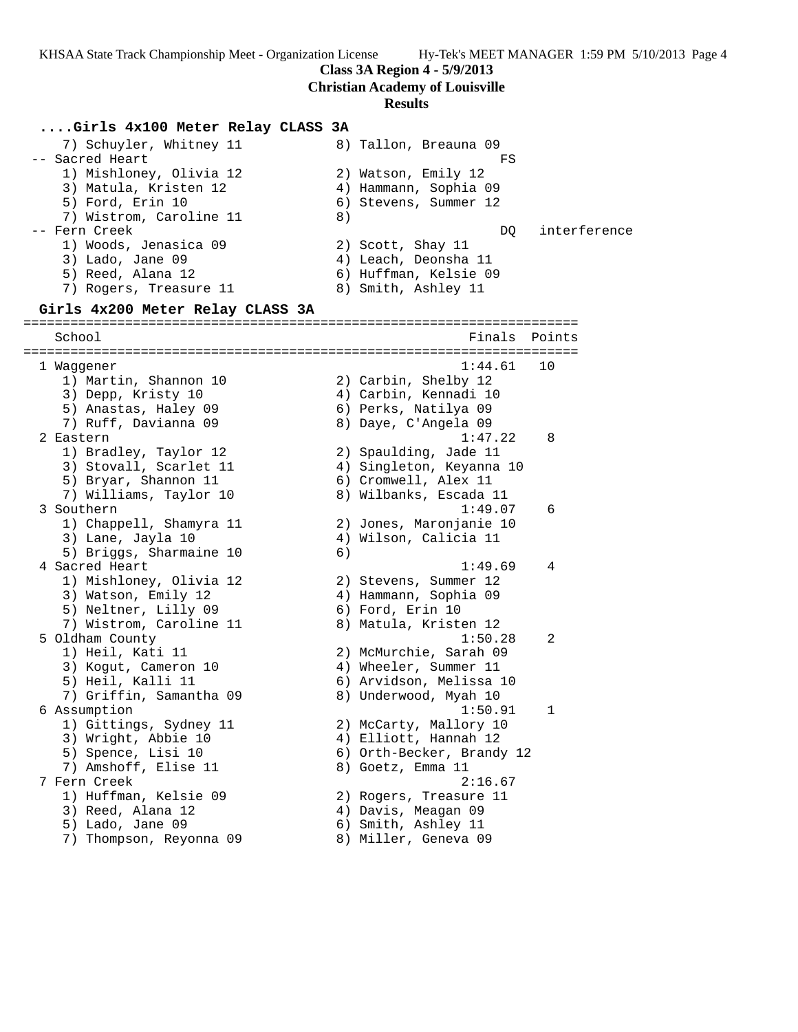**Class 3A Region 4 - 5/9/2013**

**Christian Academy of Louisville**

#### **Results**

## **....Girls 4x100 Meter Relay CLASS 3A**

7) Schuyler, Whitney 11 8) Tallon, Breauna 09<br>1 -- Sacred Heart FS 1) Mishloney, Olivia 12 2) Watson, Emily 12 3) Matula, Kristen 12 4) Hammann, Sophia 09 5) Ford, Erin 10 6) Stevens, Summer 12 7) Wistrom, Caroline 11 8) -- Fern Creek DQ interference 1) Woods, Jenasica 09 2) Scott, Shay 11 3) Lado, Jane 09 4) Leach, Deonsha 11 5) Reed, Alana 12 6) Huffman, Kelsie 09 7) Rogers, Treasure 11 and 8) Smith, Ashley 11 **Girls 4x200 Meter Relay CLASS 3A** ======================================================================= School **Finals** Points Points Points Points Points Points Points Points Points Points Points Points Points Points Points Points Points Points Points Points Points Points Points Points Points Points Points Points Points Poi ======================================================================= 1 Waggener 1:44.61 10 1) Martin, Shannon 10 2) Carbin, Shelby 12 3) Depp, Kristy 10 4) Carbin, Kennadi 10 5) Anastas, Haley 09 6) Perks, Natilya 09 7) Ruff, Davianna 09 8) Daye, C'Angela 09 2 Eastern 1:47.22 8 1) Bradley, Taylor 12 2) Spaulding, Jade 11 3) Stovall, Scarlet 11 4) Singleton, Keyanna 10 5) Bryar, Shannon 11 6) Cromwell, Alex 11 7) Williams, Taylor 10 8) Wilbanks, Escada 11 3 Southern 1:49.07 6 1) Chappell, Shamyra 11 2) Jones, Maronjanie 10 3) Lane, Jayla 10 4) Wilson, Calicia 11 5) Briggs, Sharmaine 10 (6) 4 Sacred Heart 1:49.69 4 1) Mishloney, Olivia 12 2) Stevens, Summer 12 3) Watson, Emily 12 4) Hammann, Sophia 09 5) Neltner, Lilly 09 6) Ford, Erin 10 7) Wistrom, Caroline 11 8) Matula, Kristen 12 5 Oldham County 1:50.28 2 1) Heil, Kati 11 2) McMurchie, Sarah 09 3) Kogut, Cameron 10 4) Wheeler, Summer 11 5) Heil, Kalli 11 6) Arvidson, Melissa 10 7) Griffin, Samantha 09 8) Underwood, Myah 10 6 Assumption 1:50.91 1 1) Gittings, Sydney 11 2) McCarty, Mallory 10 3) Wright, Abbie 10 4) Elliott, Hannah 12 5) Spence, Lisi 10 6) Orth-Becker, Brandy 12 7) Amshoff, Elise 11 and 8) Goetz, Emma 11 7 Fern Creek 2:16.67 1) Huffman, Kelsie 09 2) Rogers, Treasure 11 3) Reed, Alana 12 (4) Davis, Meagan 09 5) Lado, Jane 09 6) Smith, Ashley 11 7) Thompson, Reyonna 09 8) Miller, Geneva 09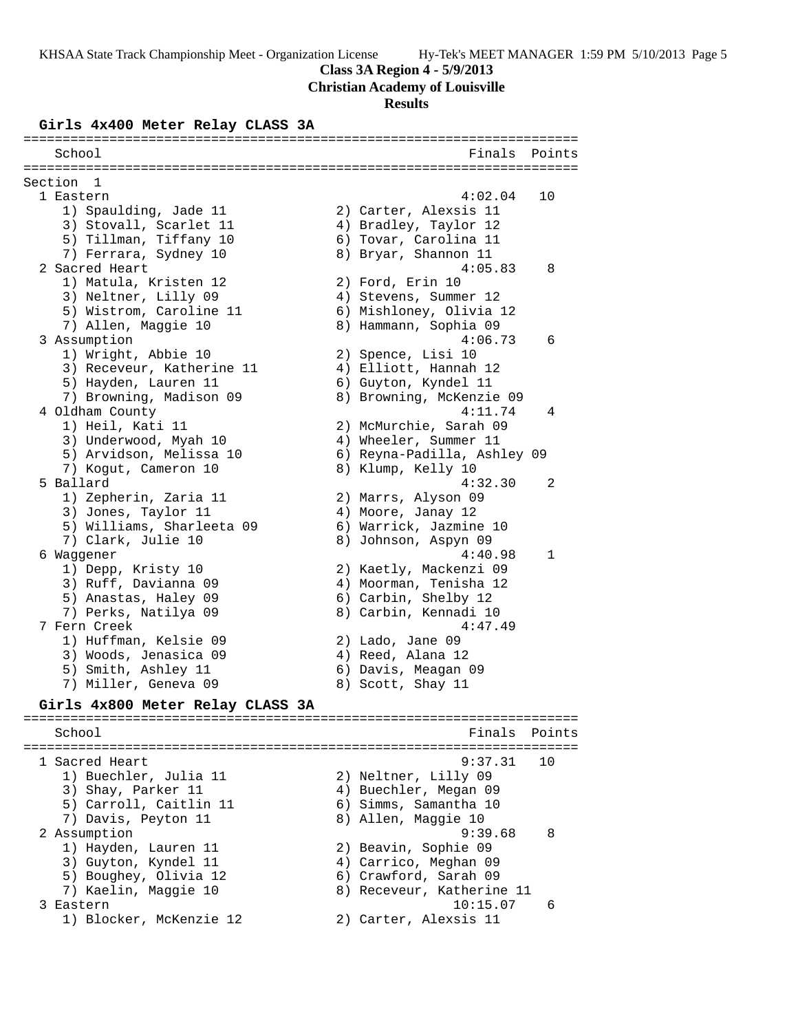**Class 3A Region 4 - 5/9/2013**

**Christian Academy of Louisville**

#### **Results**

#### **Girls 4x400 Meter Relay CLASS 3A**

======================================================================= School **Finals Points** ======================================================================= Section 1 1 Eastern 4:02.04 10 1) Spaulding, Jade 11 2) Carter, Alexsis 11 3) Stovall, Scarlet 11 4) Bradley, Taylor 12 5) Tillman, Tiffany 10 6) Tovar, Carolina 11 7) Ferrara, Sydney 10 8) Bryar, Shannon 11 2 Sacred Heart 4:05.83 8 1) Matula, Kristen 12 2) Ford, Erin 10 3) Neltner, Lilly 09 4) Stevens, Summer 12 5) Wistrom, Caroline 11 6) Mishloney, Olivia 12 7) Allen, Maggie 10 8) Hammann, Sophia 09 3 Assumption 4:06.73 6 1) Wright, Abbie 10 2) Spence, Lisi 10 3) Receveur, Katherine 11 4) Elliott, Hannah 12 5) Hayden, Lauren 11 6) Guyton, Kyndel 11 7) Browning, Madison 09 8) Browning, McKenzie 09 4 Oldham County 4:11.74 4 1) Heil, Kati 11 2) McMurchie, Sarah 09 3) Underwood, Myah 10 4) Wheeler, Summer 11 5) Arvidson, Melissa 10 6) Reyna-Padilla, Ashley 09 7) Kogut, Cameron 10 and 8) Klump, Kelly 10 5 Ballard 4:32.30 2 1) Zepherin, Zaria 11 2) Marrs, Alyson 09 3) Jones, Taylor 11 (4) Moore, Janay 12 5) Williams, Sharleeta 09 6) Warrick, Jazmine 10 7) Clark, Julie 10 8) Johnson, Aspyn 09 6 Waggener 4:40.98 1 1) Depp, Kristy 10 2) Kaetly, Mackenzi 09 3) Ruff, Davianna 09 4) Moorman, Tenisha 12 5) Anastas, Haley 09 6) Carbin, Shelby 12 7) Perks, Natilya 09 8) Carbin, Kennadi 10 7 Fern Creek 4:47.49 1) Huffman, Kelsie 09 2) Lado, Jane 09 3) Woods, Jenasica 09 (4) Reed, Alana 12 5) Smith, Ashley 11 6) Davis, Meagan 09 7) Miller, Geneva 09 8) Scott, Shay 11 **Girls 4x800 Meter Relay CLASS 3A** ======================================================================= School **Finals Points** ======================================================================= 1 Sacred Heart 9:37.31 10 1) Buechler, Julia 11  $\hskip10mm 2)$  Neltner, Lilly 09 3) Shay, Parker 11 4) Buechler, Megan 09 5) Carroll, Caitlin 11 6) Simms, Samantha 10 7) Davis, Peyton 11 and 8) Allen, Maggie 10 2 Assumption 9:39.68 8 1) Hayden, Lauren 11 2) Beavin, Sophie 09 3) Guyton, Kyndel 11 4) Carrico, Meghan 09 5) Boughey, Olivia 12 6) Crawford, Sarah 09 7) Kaelin, Maggie 10 8) Receveur, Katherine 11 3 Eastern 10:15.07 6 1) Blocker, McKenzie 12 2) Carter, Alexsis 11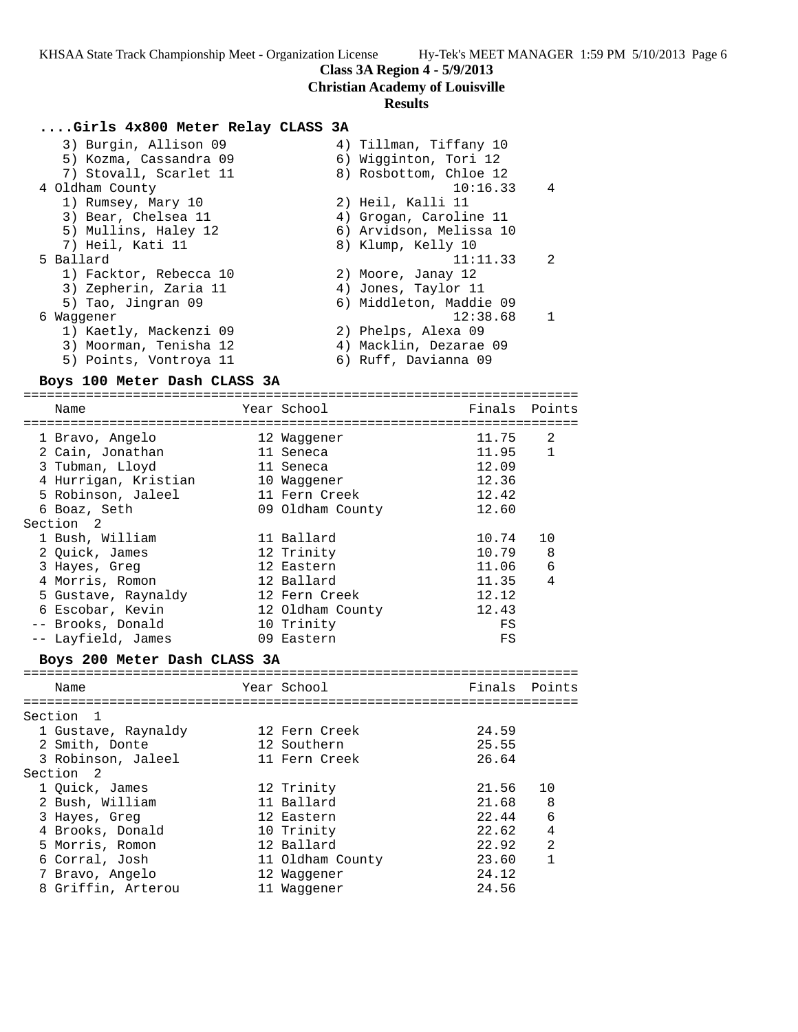### **Class 3A Region 4 - 5/9/2013**

**Christian Academy of Louisville**

## **Results**

### **....Girls 4x800 Meter Relay CLASS 3A**

| 3) Burgin, Allison 09  | 4) Tillman, Tiffany 10  |
|------------------------|-------------------------|
| 5) Kozma, Cassandra 09 | 6) Wigginton, Tori 12   |
| 7) Stovall, Scarlet 11 | 8) Rosbottom, Chloe 12  |
| 4 Oldham County        | 10:16.33<br>4           |
| 1) Rumsey, Mary 10     | 2) Heil, Kalli 11       |
| 3) Bear, Chelsea 11    | 4) Grogan, Caroline 11  |
| 5) Mullins, Haley 12   | 6) Arvidson, Melissa 10 |
| 7) Heil, Kati 11       | 8) Klump, Kelly 10      |
| 5 Ballard              | 2<br>11:11.33           |
| 1) Facktor, Rebecca 10 | 2) Moore, Janay 12      |
| 3) Zepherin, Zaria 11  | 4) Jones, Taylor 11     |
| 5) Tao, Jingran 09     | 6) Middleton, Maddie 09 |
| 6 Waqqener             | 12:38.68<br>1           |
| 1) Kaetly, Mackenzi 09 | 2) Phelps, Alexa 09     |
| 3) Moorman, Tenisha 12 | 4) Macklin, Dezarae 09  |
| 5) Points, Vontroya 11 | 6) Ruff, Davianna 09    |

#### **Boys 100 Meter Dash CLASS 3A**

======================================================================= Name The Year School Controll of Finals Points ======================================================================= 1 Bravo, Angelo 12 Waggener 11.75 2 2 Cain, Jonathan 11 Seneca 11.95 1 3 Tubman, Lloyd 11 Seneca 12.09 4 Hurrigan, Kristian 10 Waggener 12.36 5 Robinson, Jaleel 11 Fern Creek 12.42 6 Boaz, Seth 09 Oldham County 12.60 Section 2 1 Bush, William 11 Ballard 10.74 10 2 Quick, James 12 Trinity 10.79 8 3 Hayes, Greg 12 Eastern 11.06 6 4 Morris, Romon 12 Ballard 11.35 4 5 Gustave, Raynaldy 12 Fern Creek 12.12 6 Escobar, Kevin 12 Oldham County 12.43 -- Brooks, Donald 10 Trinity FS -- Layfield, James 09 Eastern FS

## **Boys 200 Meter Dash CLASS 3A**

| Name                | Year School      | Finals Points |                |
|---------------------|------------------|---------------|----------------|
| Section 1           |                  |               |                |
| 1 Gustave, Raynaldy | 12 Fern Creek    | 24.59         |                |
| 2 Smith, Donte      | 12 Southern      | 25.55         |                |
| 3 Robinson, Jaleel  | 11 Fern Creek    | 26.64         |                |
| Section 2           |                  |               |                |
| 1 Quick, James      | 12 Trinity       | 21.56         | 10             |
| 2 Bush, William     | 11 Ballard       | 21.68         | - 8            |
| 3 Hayes, Greg       | 12 Eastern       | 22.44         | 6              |
| 4 Brooks, Donald    | 10 Trinity       | 22.62         | 4              |
| 5 Morris, Romon     | 12 Ballard       | 22.92         | $\mathfrak{D}$ |
| 6 Corral, Josh      | 11 Oldham County | 23.60         | $\mathbf{1}$   |
| 7 Bravo, Angelo     | 12 Waqqener      | 24.12         |                |
| 8 Griffin, Arterou  | 11 Waqqener      | 24.56         |                |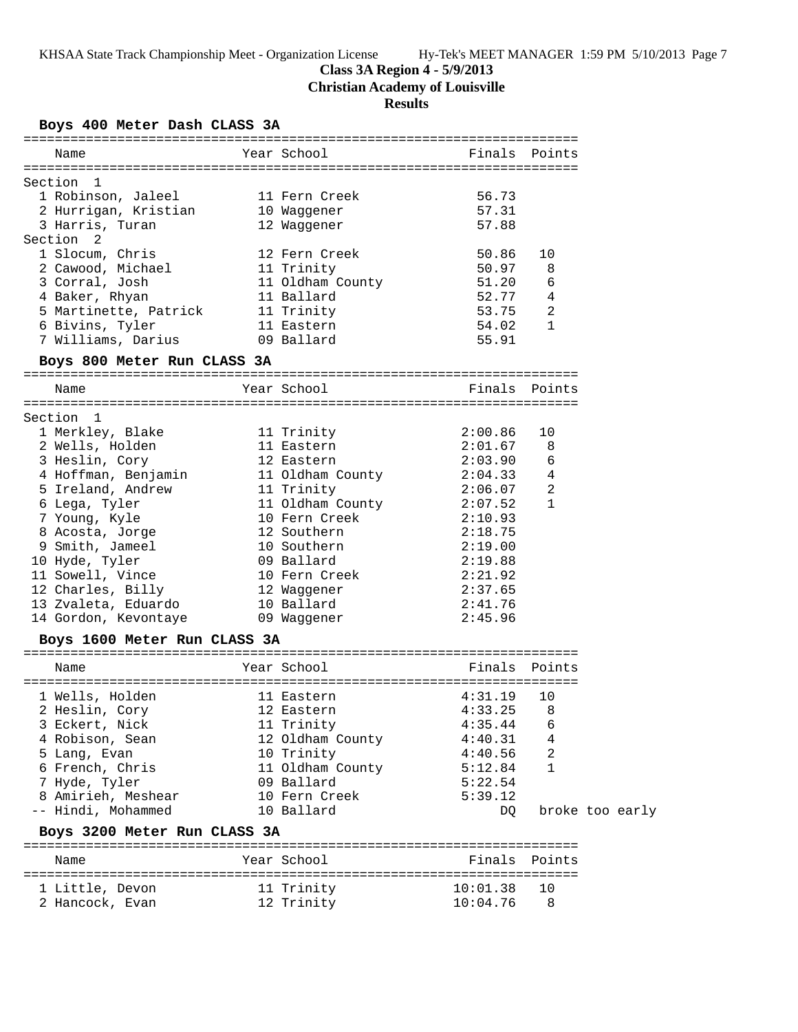**Class 3A Region 4 - 5/9/2013**

**Christian Academy of Louisville**

# **Results**

# **Boys 400 Meter Dash CLASS 3A**

| Name                                     | Year School      | Finals Points |                |                 |  |  |
|------------------------------------------|------------------|---------------|----------------|-----------------|--|--|
|                                          |                  |               |                |                 |  |  |
| Section<br>$\mathbf{1}$                  |                  |               |                |                 |  |  |
| 1 Robinson, Jaleel                       | 11 Fern Creek    | 56.73         |                |                 |  |  |
| 2 Hurrigan, Kristian                     | 10 Waggener      | 57.31         |                |                 |  |  |
| 3 Harris, Turan                          | 12 Waggener      | 57.88         |                |                 |  |  |
| Section<br>2                             |                  |               |                |                 |  |  |
| 1 Slocum, Chris                          | 12 Fern Creek    | 50.86         | 10             |                 |  |  |
| 2 Cawood, Michael                        | 11 Trinity       | 50.97         | 8              |                 |  |  |
| 3 Corral, Josh                           | 11 Oldham County | 51.20         | 6              |                 |  |  |
| 4 Baker, Rhyan                           | 11 Ballard       | 52.77         | 4              |                 |  |  |
| 5 Martinette, Patrick                    | 11 Trinity       | 53.75         | $\overline{2}$ |                 |  |  |
| 6 Bivins, Tyler                          | 11 Eastern       | 54.02         | 1              |                 |  |  |
| 7 Williams, Darius                       | 09 Ballard       | 55.91         |                |                 |  |  |
| Boys 800 Meter Run CLASS 3A              |                  |               |                |                 |  |  |
|                                          |                  |               |                |                 |  |  |
| Name                                     | Year School      | Finals Points |                |                 |  |  |
|                                          |                  |               |                |                 |  |  |
| Section<br>-1                            |                  |               |                |                 |  |  |
| 1 Merkley, Blake                         | 11 Trinity       | 2:00.86       | 10             |                 |  |  |
| 2 Wells, Holden                          | 11 Eastern       | 2:01.67       | 8              |                 |  |  |
| 3 Heslin, Cory                           | 12 Eastern       | 2:03.90       | 6              |                 |  |  |
| 4 Hoffman, Benjamin<br>5 Ireland, Andrew | 11 Oldham County | 2:04.33       | 4              |                 |  |  |
|                                          | 11 Trinity       | 2:06.07       | 2              |                 |  |  |
| 6 Lega, Tyler                            | 11 Oldham County | 2:07.52       | $\mathbf{1}$   |                 |  |  |
| 7 Young, Kyle                            | 10 Fern Creek    | 2:10.93       |                |                 |  |  |
| 8 Acosta, Jorge                          | 12 Southern      | 2:18.75       |                |                 |  |  |
| 9 Smith, Jameel                          | 10 Southern      | 2:19.00       |                |                 |  |  |
| 10 Hyde, Tyler                           | 09 Ballard       | 2:19.88       |                |                 |  |  |
| 11 Sowell, Vince                         | 10 Fern Creek    | 2:21.92       |                |                 |  |  |
| 12 Charles, Billy                        | 12 Waqqener      | 2:37.65       |                |                 |  |  |
| 13 Zvaleta, Eduardo                      | 10 Ballard       | 2:41.76       |                |                 |  |  |
| 14 Gordon, Kevontaye                     | 09 Waggener      | 2:45.96       |                |                 |  |  |
| Boys 1600 Meter Run CLASS 3A             |                  |               |                |                 |  |  |
|                                          |                  |               |                |                 |  |  |
| Name                                     | Year School      | Finals        | Points         |                 |  |  |
| 1 Wells, Holden                          | 11 Eastern       | 4:31.19       | 10             |                 |  |  |
| 2 Heslin, Cory                           | 12 Eastern       | 4:33.25       | 8              |                 |  |  |
| 3 Eckert, Nick                           | 11 Trinity       | 4:35.44       | 6              |                 |  |  |
| 4 Robison, Sean                          | 12 Oldham County | 4:40.31       | 4              |                 |  |  |
| 5 Lang, Evan                             | 10 Trinity       | 4:40.56       | 2              |                 |  |  |
| 6 French, Chris                          | 11 Oldham County | 5:12.84       | 1              |                 |  |  |
| 7 Hyde, Tyler                            | 09 Ballard       | 5:22.54       |                |                 |  |  |
| 8 Amirieh, Meshear                       | 10 Fern Creek    | 5:39.12       |                |                 |  |  |
| -- Hindi, Mohammed                       | 10 Ballard       |               |                | broke too early |  |  |
|                                          |                  | DQ            |                |                 |  |  |
| Boys 3200 Meter Run CLASS 3A             |                  |               |                |                 |  |  |
| Name                                     | Year School      | Finals Points |                |                 |  |  |
| 1 Little, Devon                          | 11 Trinity       | 10:01.38      | 10             |                 |  |  |

2 Hancock, Evan 12 Trinity 10:04.76 8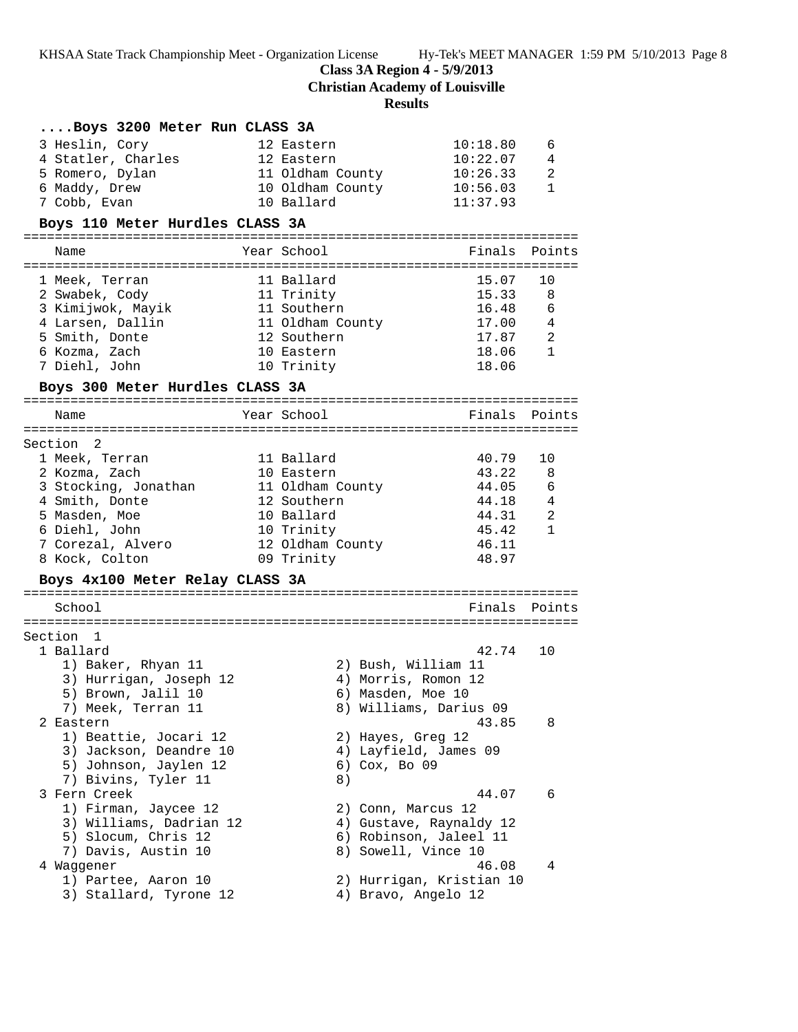**Class 3A Region 4 - 5/9/2013**

**Christian Academy of Louisville**

# **Results**

| Boys 3200 Meter Run CLASS 3A    |                              |                       |
|---------------------------------|------------------------------|-----------------------|
| 3 Heslin, Cory                  | 10:18.80<br>12 Eastern       | 6                     |
| 4 Statler, Charles              | 12 Eastern                   | 10:22.07<br>4         |
| 5 Romero, Dylan                 | 11 Oldham County             | 10:26.33<br>2         |
| 6 Maddy, Drew                   | 10 Oldham County<br>10:56.03 | 1                     |
| 7 Cobb, Evan                    | 10 Ballard<br>11:37.93       |                       |
| Boys 110 Meter Hurdles CLASS 3A |                              |                       |
|                                 | Year School                  | Finals                |
| Name                            |                              | Points                |
| 1 Meek, Terran                  | 11 Ballard                   | 15.07<br>10           |
| 2 Swabek, Cody                  | 11 Trinity                   | 15.33<br>- 8          |
| 3 Kimijwok, Mayik               | 11 Southern                  | 16.48 6               |
| 4 Larsen, Dallin                | 11 Oldham County             | 17.00 4               |
| 5 Smith, Donte                  | 12 Southern                  | 17.87 2               |
| 6 Kozma, Zach                   | 10 Eastern                   | 18.06 1               |
| 7 Diehl, John                   | 10 Trinity                   | 18.06                 |
| Boys 300 Meter Hurdles CLASS 3A |                              |                       |
| Name                            | Year School                  | Finals<br>Points      |
|                                 |                              |                       |
| Section 2<br>1 Meek, Terran     | 11 Ballard                   | 40.79<br>10           |
| 2 Kozma, Zach                   | 10 Eastern                   | 43.22 8               |
| 3 Stocking, Jonathan            | 11 Oldham County             | 44.05 6               |
| 4 Smith, Donte                  | 12 Southern                  | 44.18 4               |
| 5 Masden, Moe                   | 10 Ballard                   | 44.31 2               |
| 6 Diehl, John                   | 10 Trinity                   | 45.42<br>$\mathbf{1}$ |
| 7 Corezal, Alvero               | 12 Oldham County             | 46.11                 |
| 8 Kock, Colton                  | 09 Trinity                   | 48.97                 |
| Boys 4x100 Meter Relay CLASS 3A |                              |                       |
|                                 |                              |                       |
| School                          |                              | Finals Points         |
| Section 1                       |                              |                       |
| 1 Ballard                       |                              | 42.74<br>10           |
| 1) Baker, Rhyan 11              | 2) Bush, William 11          |                       |
| 3) Hurrigan, Joseph 12          | 4) Morris, Romon 12          |                       |
| 5) Brown, Jalil 10              | 6) Masden, Moe 10            |                       |
| 7) Meek, Terran 11              | 8) Williams, Darius 09       |                       |
| 2 Eastern                       |                              | 43.85<br>8            |
| 1) Beattie, Jocari 12           | 2) Hayes, Greg 12            |                       |
| 3) Jackson, Deandre 10          | 4) Layfield, James 09        |                       |
| 5) Johnson, Jaylen 12           | 6) Cox, Bo 09                |                       |
| 7) Bivins, Tyler 11             | 8)                           |                       |
| 3 Fern Creek                    |                              | 44.07<br>6            |
| 1) Firman, Jaycee 12            | 2) Conn, Marcus 12           |                       |
| 3) Williams, Dadrian 12         | 4) Gustave, Raynaldy 12      |                       |
| 5) Slocum, Chris 12             | 6) Robinson, Jaleel 11       |                       |
| 7) Davis, Austin 10             | 8) Sowell, Vince 10          |                       |
| 4 Waggener                      |                              | 46.08<br>4            |
| 1) Partee, Aaron 10             | 2) Hurrigan, Kristian 10     |                       |
| 3) Stallard, Tyrone 12          | 4) Bravo, Angelo 12          |                       |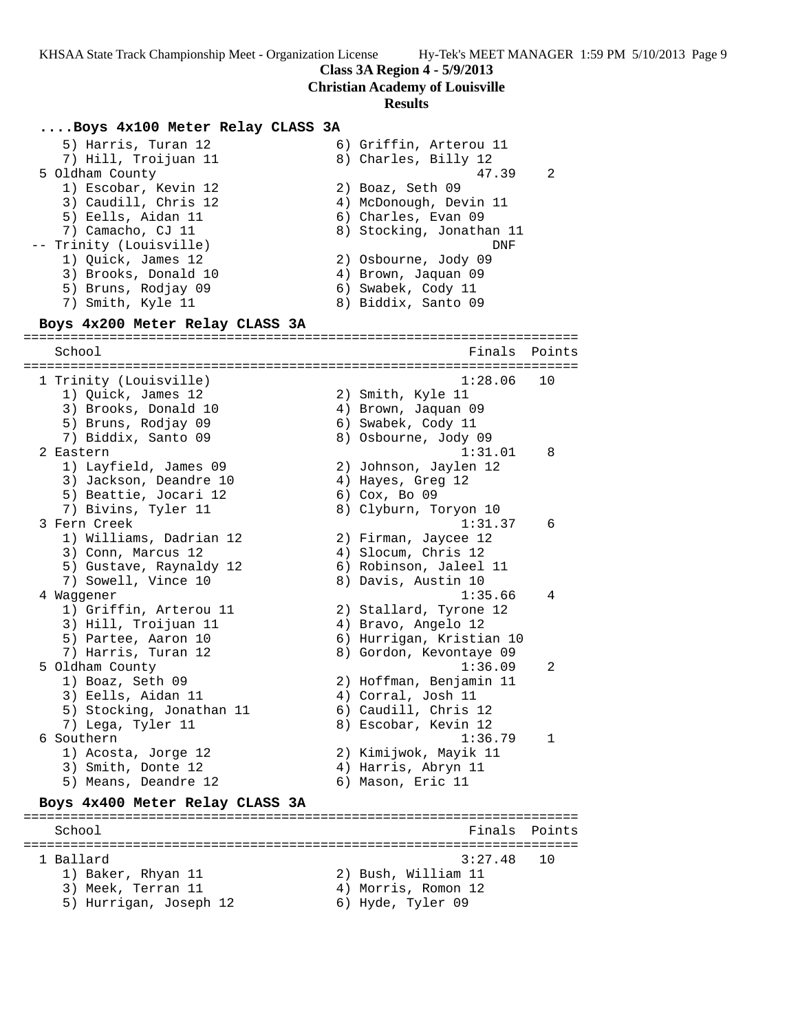**Class 3A Region 4 - 5/9/2013**

**Christian Academy of Louisville**

#### **Results**

### **....Boys 4x100 Meter Relay CLASS 3A**

5) Harris, Turan 12 (6) Griffin, Arterou 11<br>
5) Hill, Troijuan 11 (8) Charles, Billy 12 7) Hill, Troijuan 11  $\qquad \qquad 8)$  Charles, Billy 12 5 Oldham County 47.39 2 1) Escobar, Kevin 12 2) Boaz, Seth 09 3) Caudill, Chris 12 4) McDonough, Devin 11 5) Eells, Aidan 11 6) Charles, Evan 09 7) Camacho, CJ 11 8) Stocking, Jonathan 11 -- Trinity (Louisville) DNF 1) Quick, James 12 2) Osbourne, Jody 09 3) Brooks, Donald 10 4) Brown, Jaquan 09 5) Bruns, Rodjay 09 6) Swabek, Cody 11 7) Smith, Kyle 11 8) Biddix, Santo 09 **Boys 4x200 Meter Relay CLASS 3A** ======================================================================= Finals Points ======================================================================= 1 Trinity (Louisville) 1:28.06 10 1) Quick, James 12 2) Smith, Kyle 11 3) Brooks, Donald 10 4) Brown, Jaquan 09 5) Bruns, Rodjay 09 6) Swabek, Cody 11 7) Biddix, Santo 09 8) Osbourne, Jody 09 2 Eastern 1:31.01 8 1) Layfield, James 09 2) Johnson, Jaylen 12 3) Jackson, Deandre 10 (4) Hayes, Greg 12 5) Beattie, Jocari 12 (6) Cox, Bo 09 7) Bivins, Tyler 11 8) Clyburn, Toryon 10 3 Fern Creek 1:31.37 6 1) Williams, Dadrian 12 2) Firman, Jaycee 12 3) Conn, Marcus 12 4) Slocum, Chris 12 5) Gustave, Raynaldy 12 6) Robinson, Jaleel 11 7) Sowell, Vince 10 8) Davis, Austin 10 4 Waggener 1:35.66 4 1) Griffin, Arterou 11 2) Stallard, Tyrone 12 3) Hill, Troijuan 11 4) Bravo, Angelo 12 5) Partee, Aaron 10 6) Hurrigan, Kristian 10 7) Harris, Turan 12 8) Gordon, Kevontaye 09 5 Oldham County 1:36.09 2 1) Boaz, Seth 09 2) Hoffman, Benjamin 11 3) Eells, Aidan 11 (4) Corral, Josh 11 5) Stocking, Jonathan 11 6) Caudill, Chris 12 7) Lega, Tyler 11 8) Escobar, Kevin 12 6 Southern 1:36.79 1 1) Acosta, Jorge 12 2) Kimijwok, Mayik 11 3) Smith, Donte 12 (4) Harris, Abryn 11 5) Means, Deandre 12 (6) Mason, Eric 11 **Boys 4x400 Meter Relay CLASS 3A** ======================================================================= School **Finals** Points ======================================================================= 1 Ballard 3:27.48 10 1) Baker, Rhyan 11 2) Bush, William 11 3) Meek, Terran 11 (4) Morris, Romon 12 5) Hurrigan, Joseph 12 6) Hyde, Tyler 09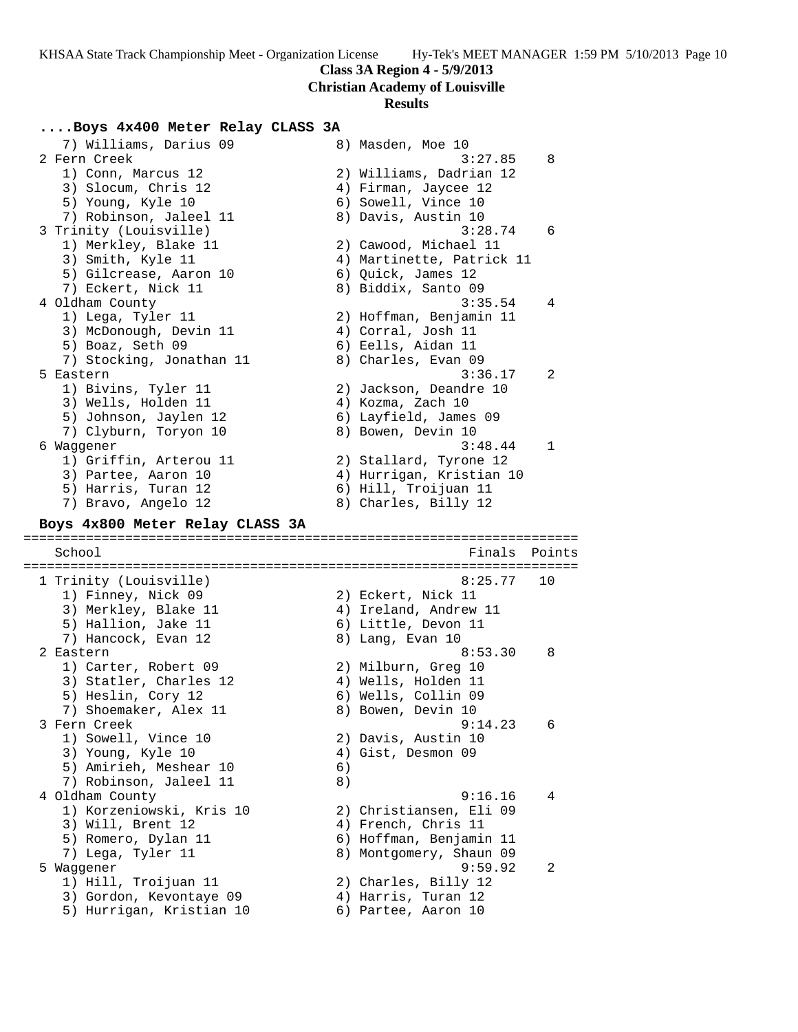**Class 3A Region 4 - 5/9/2013**

**Christian Academy of Louisville**

#### **Results**

## **....Boys 4x400 Meter Relay CLASS 3A**

7) Williams, Darius 09 8) Masden, Moe 10<br>2 Fern Creek 3:27.85 8 2 Fern Creek 3:27.85 8 1) Conn, Marcus 12 2) Williams, Dadrian 12 3) Slocum, Chris 12 (4) Firman, Jaycee 12 5) Young, Kyle 10 6) Sowell, Vince 10 7) Robinson, Jaleel 11 and 8) Davis, Austin 10 3 Trinity (Louisville) 3:28.74 6 1) Merkley, Blake 11 2) Cawood, Michael 11 3) Smith, Kyle 11 4) Martinette, Patrick 11 5) Gilcrease, Aaron 10 (6) Quick, James 12 7) Eckert, Nick 11 8) Biddix, Santo 09 4 Oldham County 3:35.54 4 1) Lega, Tyler 11 2) Hoffman, Benjamin 11 3) McDonough, Devin 11 (4) Corral, Josh 11 5) Boaz, Seth 09 6) Eells, Aidan 11 7) Stocking, Jonathan 11  $\qquad \qquad 8)$  Charles, Evan 09 5 Eastern 3:36.17 2 1) Bivins, Tyler 11 2) Jackson, Deandre 10 3) Wells, Holden 11 (4) Kozma, Zach 10 5) Johnson, Jaylen 12 6) Layfield, James 09 7) Clyburn, Toryon 10  $\hphantom{\text{2.65}$  8) Bowen, Devin 10 6 Waggener 3:48.44 1 1) Griffin, Arterou 11 2) Stallard, Tyrone 12 3) Partee, Aaron 10 4) Hurrigan, Kristian 10 5) Harris, Turan 12 6) Hill, Troijuan 11 7) Bravo, Angelo 12 (8) Charles, Billy 12 **Boys 4x800 Meter Relay CLASS 3A** ======================================================================= School **Finals Points** ======================================================================= 1 Trinity (Louisville) 8:25.77 10 1) Finney, Nick 09 2) Eckert, Nick 11 3) Merkley, Blake 11 4) Ireland, Andrew 11 5) Hallion, Jake 11 (6) Little, Devon 11 7) Hancock, Evan 12 and 8) Lang, Evan 10 2 Eastern 8:53.30 8 1) Carter, Robert 09 2) Milburn, Greg 10 3) Statler, Charles 12 (4) Wells, Holden 11 5) Heslin, Cory 12 6) Wells, Collin 09 7) Shoemaker, Alex 11 and 8) Bowen, Devin 10 3 Fern Creek 9:14.23 6 1) Sowell, Vince 10 2) Davis, Austin 10 3) Young, Kyle 10 4) Gist, Desmon 09 5) Amirieh, Meshear 10 (6) 7) Robinson, Jaleel 11 8) 4 Oldham County 9:16.16 4 1) Korzeniowski, Kris 10 2) Christiansen, Eli 09 3) Will, Brent 12 4) French, Chris 11 5) Romero, Dylan 11 6) Hoffman, Benjamin 11 7) Lega, Tyler 11 8) Montgomery, Shaun 09 5 Waggener 9:59.92 2 1) Hill, Troijuan 11 2) Charles, Billy 12 3) Gordon, Kevontaye 09 4) Harris, Turan 12 5) Hurrigan, Kristian 10 6) Partee, Aaron 10